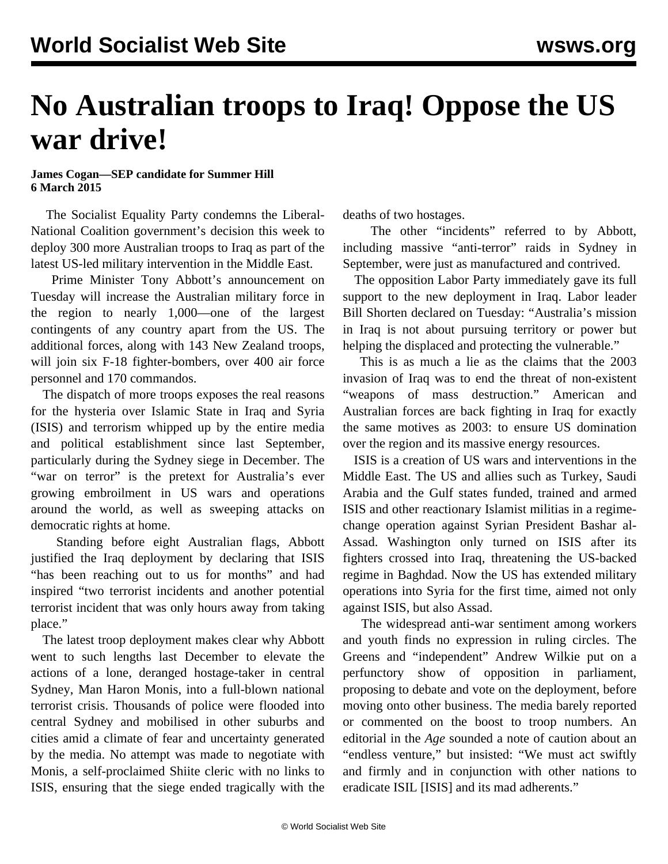## **No Australian troops to Iraq! Oppose the US war drive!**

## **James Cogan—SEP candidate for Summer Hill 6 March 2015**

 The Socialist Equality Party condemns the Liberal-National Coalition government's decision this week to deploy 300 more Australian troops to Iraq as part of the latest US-led military intervention in the Middle East.

 Prime Minister Tony Abbott's announcement on Tuesday will increase the Australian military force in the region to nearly 1,000—one of the largest contingents of any country apart from the US. The additional forces, along with 143 New Zealand troops, will join six F-18 fighter-bombers, over 400 air force personnel and 170 commandos.

 The dispatch of more troops exposes the real reasons for the hysteria over Islamic State in Iraq and Syria (ISIS) and terrorism whipped up by the entire media and political establishment since last September, particularly during the Sydney siege in December. The "war on terror" is the pretext for Australia's ever growing embroilment in US wars and operations around the world, as well as sweeping attacks on democratic rights at home.

 Standing before eight Australian flags, Abbott justified the Iraq deployment by declaring that ISIS "has been reaching out to us for months" and had inspired "two terrorist incidents and another potential terrorist incident that was only hours away from taking place."

 The latest troop deployment makes clear why Abbott went to such lengths last December to elevate the actions of a lone, deranged hostage-taker in central Sydney, Man Haron Monis, into a full-blown national terrorist crisis. Thousands of police were flooded into central Sydney and mobilised in other suburbs and cities amid a climate of fear and uncertainty generated by the media. No attempt was made to negotiate with Monis, a self-proclaimed Shiite cleric with no links to ISIS, ensuring that the siege ended tragically with the

deaths of two hostages.

 The other "incidents" referred to by Abbott, including massive "anti-terror" raids in Sydney in September, were just as manufactured and contrived.

 The opposition Labor Party immediately gave its full support to the new deployment in Iraq. Labor leader Bill Shorten declared on Tuesday: "Australia's mission in Iraq is not about pursuing territory or power but helping the displaced and protecting the vulnerable."

 This is as much a lie as the claims that the 2003 invasion of Iraq was to end the threat of non-existent "weapons of mass destruction." American and Australian forces are back fighting in Iraq for exactly the same motives as 2003: to ensure US domination over the region and its massive energy resources.

 ISIS is a creation of US wars and interventions in the Middle East. The US and allies such as Turkey, Saudi Arabia and the Gulf states funded, trained and armed ISIS and other reactionary Islamist militias in a regimechange operation against Syrian President Bashar al-Assad. Washington only turned on ISIS after its fighters crossed into Iraq, threatening the US-backed regime in Baghdad. Now the US has extended military operations into Syria for the first time, aimed not only against ISIS, but also Assad.

 The widespread anti-war sentiment among workers and youth finds no expression in ruling circles. The Greens and "independent" Andrew Wilkie put on a perfunctory show of opposition in parliament, proposing to debate and vote on the deployment, before moving onto other business. The media barely reported or commented on the boost to troop numbers. An editorial in the *Age* sounded a note of caution about an "endless venture," but insisted: "We must act swiftly and firmly and in conjunction with other nations to eradicate ISIL [ISIS] and its mad adherents."